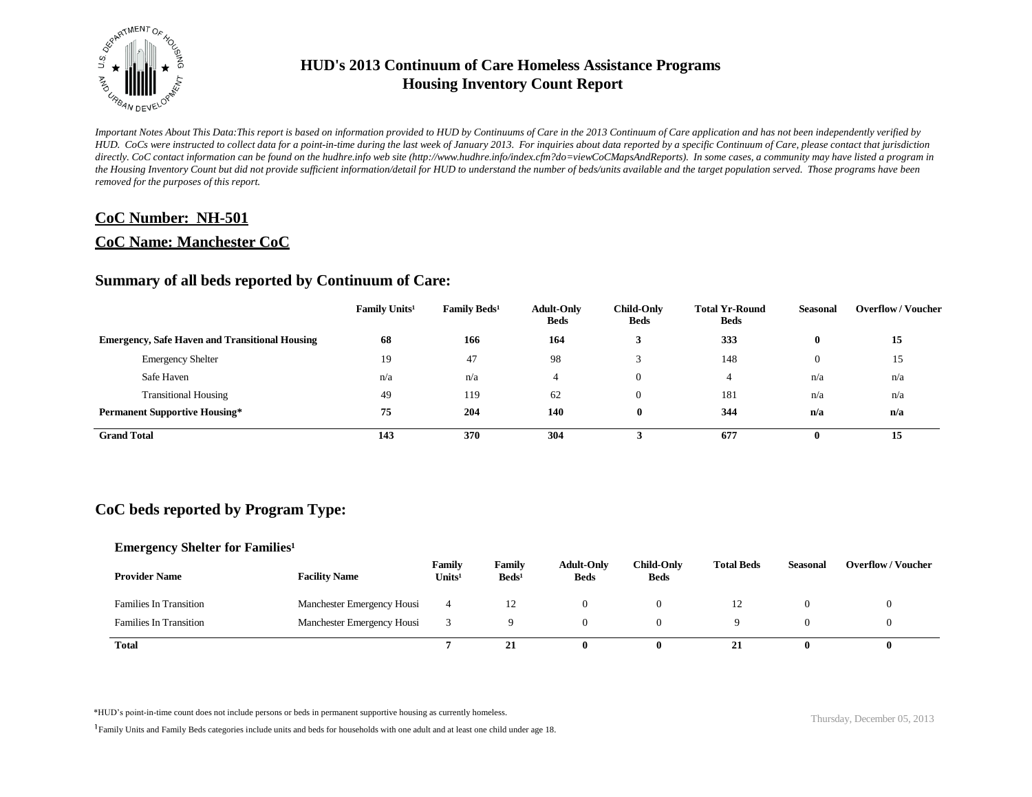

*Important Notes About This Data:This report is based on information provided to HUD by Continuums of Care in the 2013 Continuum of Care application and has not been independently verified by HUD. CoCs were instructed to collect data for a point-in-time during the last week of January 2013. For inquiries about data reported by a specific Continuum of Care, please contact that jurisdiction*  directly. CoC contact information can be found on the hudhre.info web site (http://www.hudhre.info/index.cfm?do=viewCoCMapsAndReports). In some cases, a community may have listed a program in *the Housing Inventory Count but did not provide sufficient information/detail for HUD to understand the number of beds/units available and the target population served. Those programs have been removed for the purposes of this report.*

### **CoC Number: NH-501**

### **CoC Name: Manchester CoC**

### **Summary of all beds reported by Continuum of Care:**

|                                                       | Family Units <sup>1</sup> | Family Beds <sup>1</sup> | <b>Adult-Only</b><br><b>Beds</b> | <b>Child-Only</b><br><b>Beds</b> | <b>Total Yr-Round</b><br><b>Beds</b> | <b>Seasonal</b> | <b>Overflow / Voucher</b> |
|-------------------------------------------------------|---------------------------|--------------------------|----------------------------------|----------------------------------|--------------------------------------|-----------------|---------------------------|
| <b>Emergency, Safe Haven and Transitional Housing</b> | 68                        | 166                      | 164                              |                                  | 333                                  | $\bf{0}$        | 15                        |
| <b>Emergency Shelter</b>                              | 19                        | 47                       | 98                               |                                  | 148                                  | $\theta$        | 15                        |
| Safe Haven                                            | n/a                       | n/a                      | $\overline{4}$                   | 0                                |                                      | n/a             | n/a                       |
| <b>Transitional Housing</b>                           | 49                        | 119                      | 62                               | 0                                | 181                                  | n/a             | n/a                       |
| <b>Permanent Supportive Housing*</b>                  | 75                        | 204                      | 140                              | 0                                | 344                                  | n/a             | n/a                       |
| <b>Grand Total</b>                                    | 143                       | 370                      | 304                              |                                  | 677                                  |                 | 15                        |

# **CoC beds reported by Program Type:**

#### **Emergency Shelter for Families<sup>1</sup>**

| <b>Provider Name</b>          | <b>Facility Name</b>       | Family<br>Units <sup>1</sup> | Family<br>$\text{Beds}^1$ | <b>Adult-Only</b><br><b>Beds</b> | <b>Child-Only</b><br><b>Beds</b> | <b>Total Beds</b> | <b>Seasonal</b> | <b>Overflow/Voucher</b> |
|-------------------------------|----------------------------|------------------------------|---------------------------|----------------------------------|----------------------------------|-------------------|-----------------|-------------------------|
| <b>Families In Transition</b> | Manchester Emergency Housi |                              | 12                        |                                  |                                  | ∸                 |                 |                         |
| <b>Families In Transition</b> | Manchester Emergency Housi |                              |                           |                                  |                                  |                   |                 |                         |
| <b>Total</b>                  |                            |                              | 21                        |                                  |                                  | 41                |                 |                         |

\*HUD's point-in-time count does not include persons or beds in permanent supportive housing as currently homeless.<br>
Thursday, December 05, 2013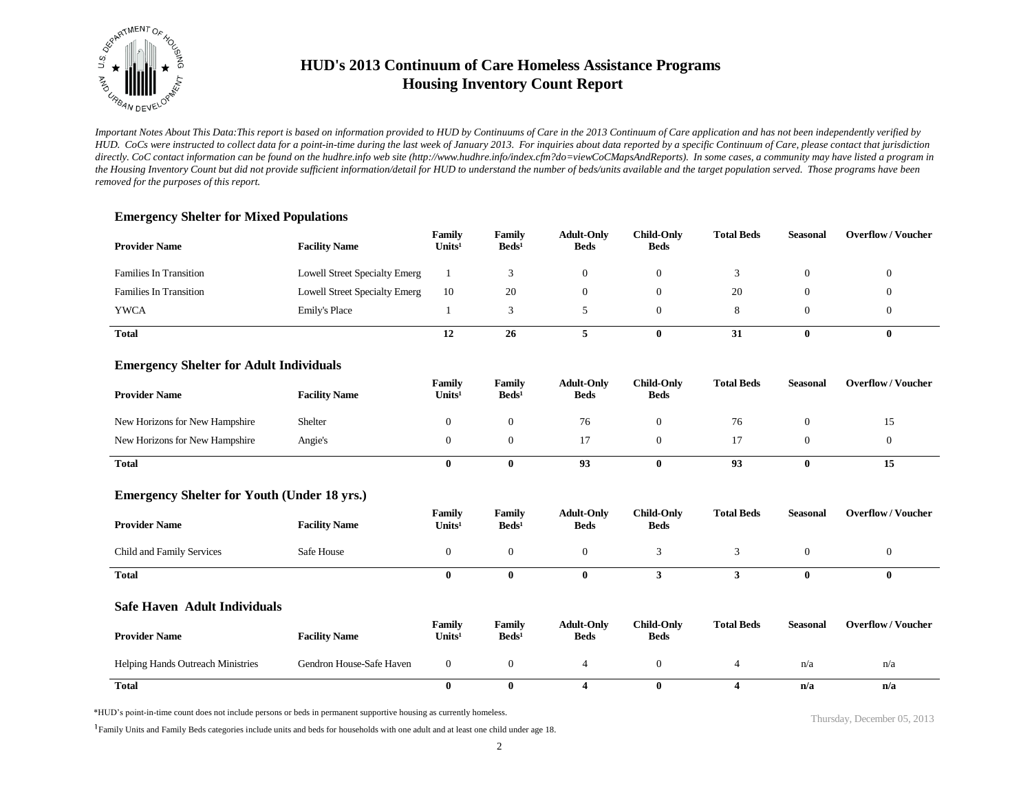

*Important Notes About This Data:This report is based on information provided to HUD by Continuums of Care in the 2013 Continuum of Care application and has not been independently verified by HUD. CoCs were instructed to collect data for a point-in-time during the last week of January 2013. For inquiries about data reported by a specific Continuum of Care, please contact that jurisdiction*  directly. CoC contact information can be found on the hudhre.info web site (http://www.hudhre.info/index.cfm?do=viewCoCMapsAndReports). In some cases, a community may have listed a program in *the Housing Inventory Count but did not provide sufficient information/detail for HUD to understand the number of beds/units available and the target population served. Those programs have been removed for the purposes of this report.*

### **Emergency Shelter for Mixed Populations**

| <b>Provider Name</b>          | <b>Facility Name</b>          | Family<br>Units <sup>1</sup> | Family<br>$\text{Beds}^1$ | <b>Adult-Only</b><br><b>Beds</b> | <b>Child-Only</b><br><b>Beds</b> | <b>Total Beds</b> | <b>Seasonal</b> | <b>Overflow/Voucher</b> |
|-------------------------------|-------------------------------|------------------------------|---------------------------|----------------------------------|----------------------------------|-------------------|-----------------|-------------------------|
| <b>Families In Transition</b> | Lowell Street Specialty Emerg |                              |                           |                                  | $\Omega$                         |                   |                 |                         |
| <b>Families In Transition</b> | Lowell Street Specialty Emerg | 10                           | 20                        |                                  | $\theta$                         | 20                |                 |                         |
| <b>YWCA</b>                   | Emily's Place                 |                              |                           |                                  |                                  |                   |                 |                         |
| <b>Total</b>                  |                               | 12                           | 26                        |                                  | 0                                | 31                | o               | ш                       |

#### **Emergency Shelter for Adult Individuals**

| <b>Provider Name</b>           | <b>Facility Name</b> | Family<br>Units <sup>1</sup> | Family<br>$\text{Beds}^1$ | <b>Adult-Only</b><br><b>Beds</b> | <b>Child-Only</b><br><b>Beds</b> | <b>Total Beds</b> | <b>Seasonal</b> | <b>Overflow/Voucher</b> |
|--------------------------------|----------------------|------------------------------|---------------------------|----------------------------------|----------------------------------|-------------------|-----------------|-------------------------|
| New Horizons for New Hampshire | Shelter              |                              | $\Omega$                  | 76                               |                                  | 76                |                 | ⊥ J                     |
| New Horizons for New Hampshire | Angie's              |                              |                           |                                  |                                  |                   |                 |                         |
| <b>Total</b>                   |                      |                              | 0                         | 93                               |                                  | 93                |                 | 15                      |

### **Emergency Shelter for Youth (Under 18 yrs.)**

| <b>Provider Name</b>      | <b>Facility Name</b> | Family<br>Units <sup>1</sup> | Family<br>$\text{Beds}^1$ | <b>Adult-Only</b><br><b>Beds</b> | <b>Child-Only</b><br><b>Beds</b> | <b>Total Beds</b> | <b>Seasonal</b> | <b>Overflow/Voucher</b> |
|---------------------------|----------------------|------------------------------|---------------------------|----------------------------------|----------------------------------|-------------------|-----------------|-------------------------|
| Child and Family Services | Safe House           |                              |                           |                                  |                                  |                   |                 |                         |
| <b>Total</b>              |                      |                              |                           |                                  |                                  |                   | 0               | 0                       |

#### **Safe Haven Adult Individuals**

| <b>Provider Name</b>                     | <b>Facility Name</b>     | Family<br>Units <sup>1</sup> | Family<br>$\text{Beds}^1$ | <b>Adult-Only</b><br><b>Beds</b> | <b>Child-Only</b><br><b>Beds</b> | <b>Total Beds</b> | Seasonal | <b>Overflow/Voucher</b> |
|------------------------------------------|--------------------------|------------------------------|---------------------------|----------------------------------|----------------------------------|-------------------|----------|-------------------------|
| <b>Helping Hands Outreach Ministries</b> | Gendron House-Safe Haven |                              |                           |                                  |                                  |                   | n/a      | n/a                     |
| <b>Total</b>                             |                          |                              |                           |                                  |                                  |                   | n/a      | n/a                     |

\*HUD's point-in-time count does not include persons or beds in permanent supportive housing as currently homeless.

<sup>1</sup>Family Units and Family Beds categories include units and beds for households with one adult and at least one child under age 18.

Thursday, December 05, 2013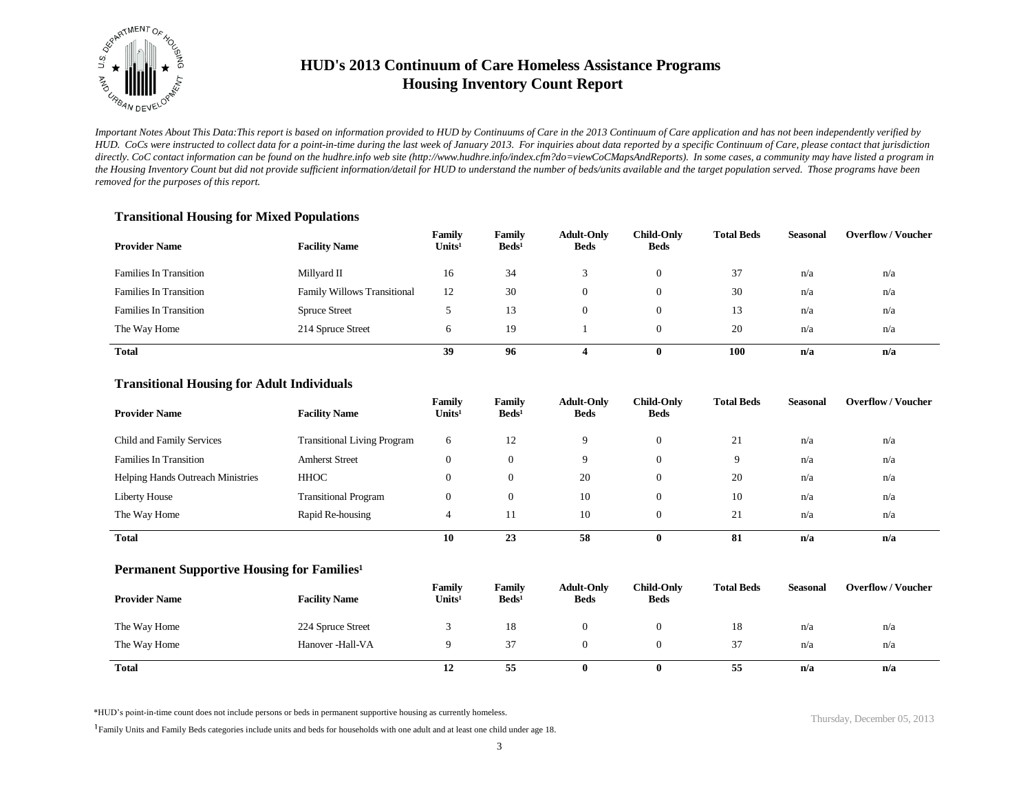

*Important Notes About This Data:This report is based on information provided to HUD by Continuums of Care in the 2013 Continuum of Care application and has not been independently verified by HUD. CoCs were instructed to collect data for a point-in-time during the last week of January 2013. For inquiries about data reported by a specific Continuum of Care, please contact that jurisdiction*  directly. CoC contact information can be found on the hudhre.info web site (http://www.hudhre.info/index.cfm?do=viewCoCMapsAndReports). In some cases, a community may have listed a program in *the Housing Inventory Count but did not provide sufficient information/detail for HUD to understand the number of beds/units available and the target population served. Those programs have been removed for the purposes of this report.*

#### **Transitional Housing for Mixed Populations**

| <b>Provider Name</b>          | <b>Facility Name</b>               | Family<br>Units <sup>1</sup> | Family<br>$\text{Beds}^1$ | <b>Adult-Only</b><br><b>Beds</b> | <b>Child-Only</b><br>Beds | <b>Total Beds</b> | Seasonal | <b>Overflow/Voucher</b> |
|-------------------------------|------------------------------------|------------------------------|---------------------------|----------------------------------|---------------------------|-------------------|----------|-------------------------|
| <b>Families In Transition</b> | Millyard II                        | 16                           | 34                        |                                  | 0                         | 37                | n/a      | n/a                     |
| <b>Families In Transition</b> | <b>Family Willows Transitional</b> | 12                           | 30                        |                                  | $\overline{0}$            | 30                | n/a      | n/a                     |
| <b>Families In Transition</b> | <b>Spruce Street</b>               |                              | 13                        |                                  | 0                         | 13                | n/a      | n/a                     |
| The Way Home                  | 214 Spruce Street                  | h                            | 19                        |                                  |                           | 20                | n/a      | n/a                     |
| <b>Total</b>                  |                                    | 39                           | 96                        |                                  | 0                         | 100               | n/a      | n/a                     |

#### **Transitional Housing for Adult Individuals**

| <b>Provider Name</b>                     | <b>Facility Name</b>               | Family<br>Units <sup>1</sup> | Family<br>$\text{Beds}^1$ | <b>Adult-Only</b><br><b>Beds</b> | <b>Child-Only</b><br><b>Beds</b> | <b>Total Beds</b> | <b>Seasonal</b> | <b>Overflow/Voucher</b> |
|------------------------------------------|------------------------------------|------------------------------|---------------------------|----------------------------------|----------------------------------|-------------------|-----------------|-------------------------|
| Child and Family Services                | <b>Transitional Living Program</b> | 6                            | 12                        | Q                                | $\theta$                         | 21                | n/a             | n/a                     |
| <b>Families In Transition</b>            | <b>Amherst Street</b>              | $\theta$                     | $\Omega$                  | Q                                | $\theta$                         | 9                 | n/a             | n/a                     |
| <b>Helping Hands Outreach Ministries</b> | HHOC                               | $\overline{0}$               | $\theta$                  | 20                               | $\theta$                         | 20                | n/a             | n/a                     |
| Liberty House                            | <b>Transitional Program</b>        | $\overline{0}$               | $\overline{0}$            | 10                               | $\theta$                         | 10                | n/a             | n/a                     |
| The Way Home                             | Rapid Re-housing                   | 4                            | 11                        | 10                               | $\theta$                         | 21                | n/a             | n/a                     |
| <b>Total</b>                             |                                    | 10                           | 23                        | 58                               | $\mathbf{0}$                     | 81                | n/a             | n/a                     |

#### **Permanent Supportive Housing for Families<sup>1</sup>**

| <b>Provider Name</b> | <b>Facility Name</b> | Family<br>Units <sup>1</sup> | Family<br>$\text{Beds}^1$ | <b>Adult-Only</b><br><b>Beds</b> | Child-Only<br><b>Beds</b> | <b>Total Beds</b> | <b>Seasonal</b> | <b>Overflow / Voucher</b> |
|----------------------|----------------------|------------------------------|---------------------------|----------------------------------|---------------------------|-------------------|-----------------|---------------------------|
| The Way Home         | 224 Spruce Street    |                              | 18                        |                                  |                           | 18                | n/a             | n/a                       |
| The Way Home         | Hanover -Hall-VA     |                              | 37                        |                                  |                           | 37                | n/a             | n/a                       |
| Total                |                      | 12                           | 55                        |                                  | $\mathbf{0}$              | --<br>55          | n/a             | n/a                       |

\*HUD's point-in-time count does not include persons or beds in permanent supportive housing as currently homeless.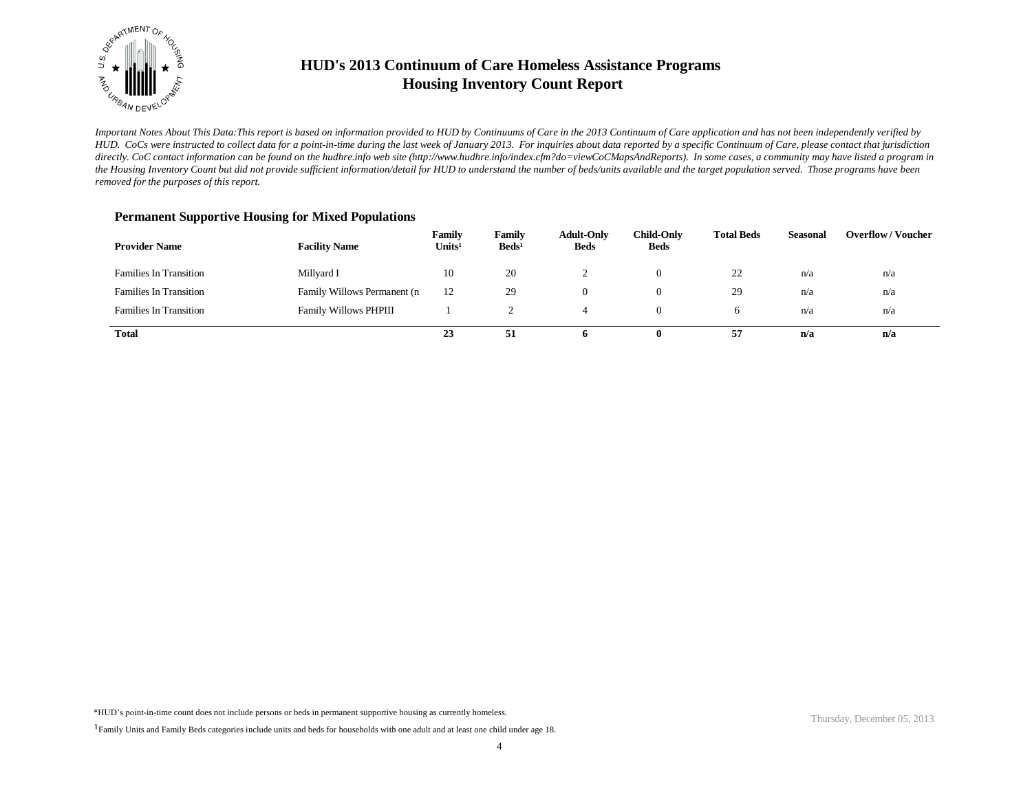

*Important Notes About This Data:This report is based on information provided to HUD by Continuums of Care in the 2013 Continuum of Care application and has not been independently verified by HUD. CoCs were instructed to collect data for a point-in-time during the last week of January 2013. For inquiries about data reported by a specific Continuum of Care, please contact that jurisdiction*  directly. CoC contact information can be found on the hudhre.info web site (http://www.hudhre.info/index.cfm?do=viewCoCMapsAndReports). In some cases, a community may have listed a program in *the Housing Inventory Count but did not provide sufficient information/detail for HUD to understand the number of beds/units available and the target population served. Those programs have been removed for the purposes of this report.*

| <b>Provider Name</b>          | <b>Facility Name</b>         | Family<br>Units <sup>1</sup> | Family<br>Beds <sup>1</sup> | <b>Adult-Only</b><br><b>Beds</b> | <b>Child-Only</b><br><b>Beds</b> | <b>Total Beds</b> | Seasonal | <b>Overflow/Voucher</b> |
|-------------------------------|------------------------------|------------------------------|-----------------------------|----------------------------------|----------------------------------|-------------------|----------|-------------------------|
| <b>Families In Transition</b> | Millyard I                   | 10                           | 20                          |                                  | 0                                | 22                | n/a      | n/a                     |
| <b>Families In Transition</b> | Family Willows Permanent (n  | 12                           | 29                          |                                  | 0                                | 29                | n/a      | n/a                     |
| <b>Families In Transition</b> | <b>Family Willows PHPIII</b> |                              |                             |                                  |                                  |                   | n/a      | n/a                     |
| <b>Total</b>                  |                              | 23                           | 51                          | n.                               | o                                | 57                | n/a      | n/a                     |

\*HUD's point-in-time count does not include persons or beds in permanent supportive housing as currently homeless.